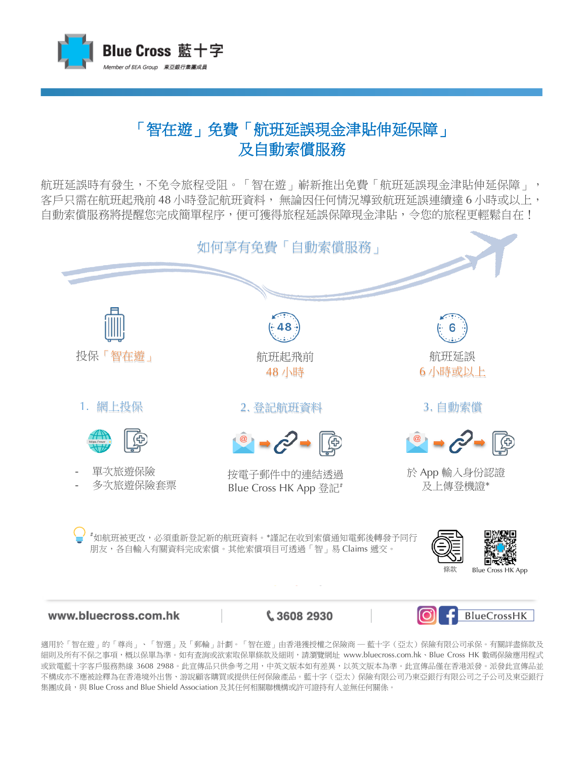

## 「智在遊」免費「航班延誤現金津貼伸延保障」 及自動索償服務

航班延誤時有發生,不免令旅程受阻。「智在遊」嶄新推出免費「航班延誤現金津貼伸延保障」, 客戶只需在航班起飛前 48 小時登記航班資料, 無論因任何情況導致航班延誤連續達 6 小時或以上, 自動索償服務將提醒您完成簡單程序,便可獲得旅程延誤保障現金津貼,令您的旅程更輕鬆自在!



www.bluecross.com.hk

€ 3608 2930

BlueCrossHK

適用於「智在遊」的「尊尚」、「智選」及「郵輪」計劃。「智在遊」由香港獲授權之保險商 ─ 藍十字(亞太)保險有限公司承保。有關詳盡條款及 細則及所有不保之事項,概以保單為準。如有查詢或欲索取保單條款及細則,請瀏覽網址 www.bluecross.com.hk、Blue Cross HK 數碼保險應用程式 或致電藍十字客戶服務熱線 3608 2988。此宣傳品只供參考之用,中英文版本如有差異,以英文版本為準。此宣傳在香港派發。派發此宣傳品並 不構成亦不應被詮釋為在香港境外出售、游說顧客購買或提供任何保險產品。藍十字(亞太)保險有限公司乃東亞銀行有限公司之子公司及東亞銀行 集團成員,與 Blue Cross and Blue Shield Association 及其任何相關聯機構或許可證持有人並無任何關係。